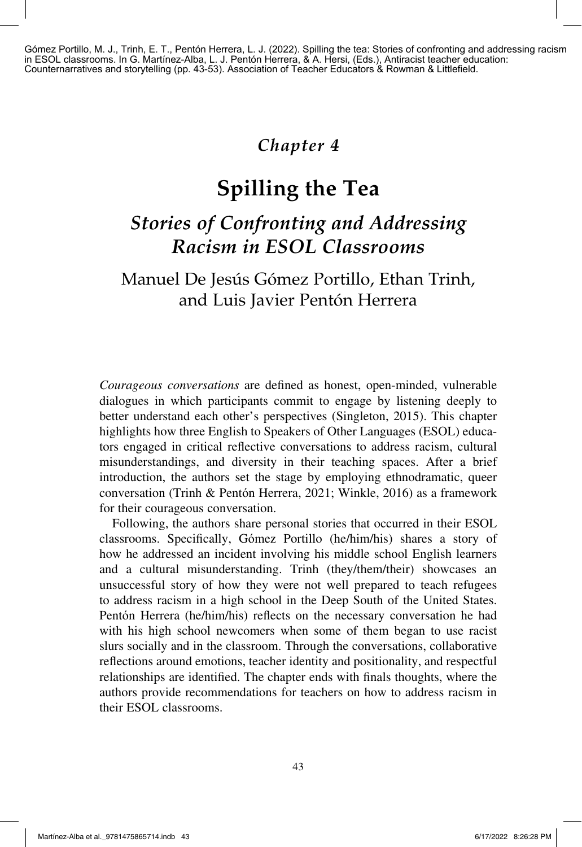Gómez Portillo, M. J., Trinh, E. T., Pentón Herrera, L. J. (2022). Spilling the tea: Stories of confronting and addressing racism in ESOL classrooms. In G. Martínez-Alba, L. J. Pentón Herrera, & A. Hersi, (Eds.), Antiracist teacher education: Counternarratives and storytelling (pp. 43-53). Association of Teacher Educators & Rowman & Littlefield.

# *Chapter 4*

# **Spilling the Tea**

# *Stories of Confronting and Addressing Racism in ESOL Classrooms*

# Manuel De Jesús Gómez Portillo, Ethan Trinh, and Luis Javier Pentón Herrera

*Courageous conversations* are defined as honest, open-minded, vulnerable dialogues in which participants commit to engage by listening deeply to better understand each other's perspectives (Singleton, 2015). This chapter highlights how three English to Speakers of Other Languages (ESOL) educators engaged in critical reflective conversations to address racism, cultural misunderstandings, and diversity in their teaching spaces. After a brief introduction, the authors set the stage by employing ethnodramatic, queer conversation (Trinh & Pentón Herrera, 2021; Winkle, 2016) as a framework for their courageous conversation.

Following, the authors share personal stories that occurred in their ESOL classrooms. Specifically, Gómez Portillo (he/him/his) shares a story of how he addressed an incident involving his middle school English learners and a cultural misunderstanding. Trinh (they/them/their) showcases an unsuccessful story of how they were not well prepared to teach refugees to address racism in a high school in the Deep South of the United States. Pentón Herrera (he/him/his) reflects on the necessary conversation he had with his high school newcomers when some of them began to use racist slurs socially and in the classroom. Through the conversations, collaborative reflections around emotions, teacher identity and positionality, and respectful relationships are identified. The chapter ends with finals thoughts, where the authors provide recommendations for teachers on how to address racism in their ESOL classrooms.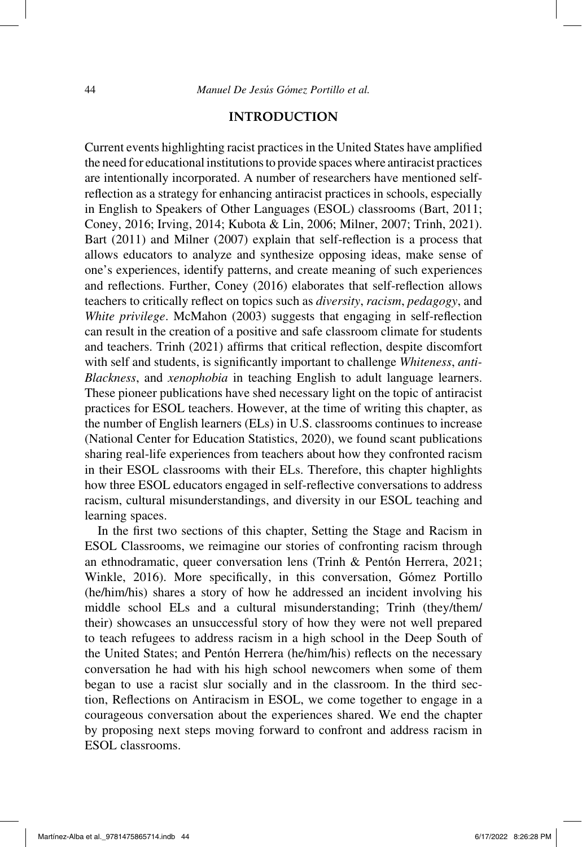#### **INTRODUCTION**

Current events highlighting racist practices in the United States have amplified the need for educational institutions to provide spaces where antiracist practices are intentionally incorporated. A number of researchers have mentioned selfreflection as a strategy for enhancing antiracist practices in schools, especially in English to Speakers of Other Languages (ESOL) classrooms (Bart, 2011; Coney, 2016; Irving, 2014; Kubota & Lin, 2006; Milner, 2007; Trinh, 2021). Bart (2011) and Milner (2007) explain that self-reflection is a process that allows educators to analyze and synthesize opposing ideas, make sense of one's experiences, identify patterns, and create meaning of such experiences and reflections. Further, Coney (2016) elaborates that self-reflection allows teachers to critically reflect on topics such as *diversity*, *racism*, *pedagogy*, and *White privilege*. McMahon (2003) suggests that engaging in self-reflection can result in the creation of a positive and safe classroom climate for students and teachers. Trinh (2021) affirms that critical reflection, despite discomfort with self and students, is significantly important to challenge *Whiteness*, *anti-Blackness*, and *xenophobia* in teaching English to adult language learners. These pioneer publications have shed necessary light on the topic of antiracist practices for ESOL teachers. However, at the time of writing this chapter, as the number of English learners (ELs) in U.S. classrooms continues to increase (National Center for Education Statistics, 2020), we found scant publications sharing real-life experiences from teachers about how they confronted racism in their ESOL classrooms with their ELs. Therefore, this chapter highlights how three ESOL educators engaged in self-reflective conversations to address racism, cultural misunderstandings, and diversity in our ESOL teaching and learning spaces.

In the first two sections of this chapter, Setting the Stage and Racism in ESOL Classrooms, we reimagine our stories of confronting racism through an ethnodramatic, queer conversation lens (Trinh & Pentón Herrera, 2021; Winkle, 2016). More specifically, in this conversation, Gómez Portillo (he/him/his) shares a story of how he addressed an incident involving his middle school ELs and a cultural misunderstanding; Trinh (they/them/ their) showcases an unsuccessful story of how they were not well prepared to teach refugees to address racism in a high school in the Deep South of the United States; and Pentón Herrera (he/him/his) reflects on the necessary conversation he had with his high school newcomers when some of them began to use a racist slur socially and in the classroom. In the third section, Reflections on Antiracism in ESOL, we come together to engage in a courageous conversation about the experiences shared. We end the chapter by proposing next steps moving forward to confront and address racism in ESOL classrooms.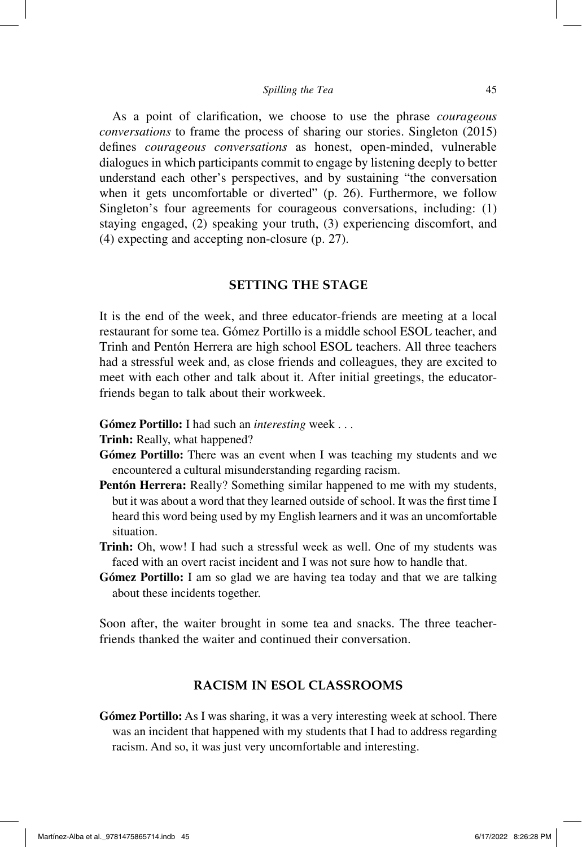#### *Spilling the Tea* 45

As a point of clarification, we choose to use the phrase *courageous conversations* to frame the process of sharing our stories. Singleton (2015) defines *courageous conversations* as honest, open-minded, vulnerable dialogues in which participants commit to engage by listening deeply to better understand each other's perspectives, and by sustaining "the conversation when it gets uncomfortable or diverted" (p. 26). Furthermore, we follow Singleton's four agreements for courageous conversations, including: (1) staying engaged, (2) speaking your truth, (3) experiencing discomfort, and (4) expecting and accepting non-closure (p. 27).

## **SETTING THE STAGE**

It is the end of the week, and three educator-friends are meeting at a local restaurant for some tea. Gómez Portillo is a middle school ESOL teacher, and Trinh and Pentón Herrera are high school ESOL teachers. All three teachers had a stressful week and, as close friends and colleagues, they are excited to meet with each other and talk about it. After initial greetings, the educatorfriends began to talk about their workweek.

- **Gómez Portillo:** I had such an *interesting* week . . .
- **Trinh:** Really, what happened?
- **Gómez Portillo:** There was an event when I was teaching my students and we encountered a cultural misunderstanding regarding racism.
- **Pentón Herrera:** Really? Something similar happened to me with my students, but it was about a word that they learned outside of school. It was the first time I heard this word being used by my English learners and it was an uncomfortable situation.
- **Trinh:** Oh, wow! I had such a stressful week as well. One of my students was faced with an overt racist incident and I was not sure how to handle that.
- **Gómez Portillo:** I am so glad we are having tea today and that we are talking about these incidents together.

Soon after, the waiter brought in some tea and snacks. The three teacherfriends thanked the waiter and continued their conversation.

# **RACISM IN ESOL CLASSROOMS**

**Gómez Portillo:** As I was sharing, it was a very interesting week at school. There was an incident that happened with my students that I had to address regarding racism. And so, it was just very uncomfortable and interesting.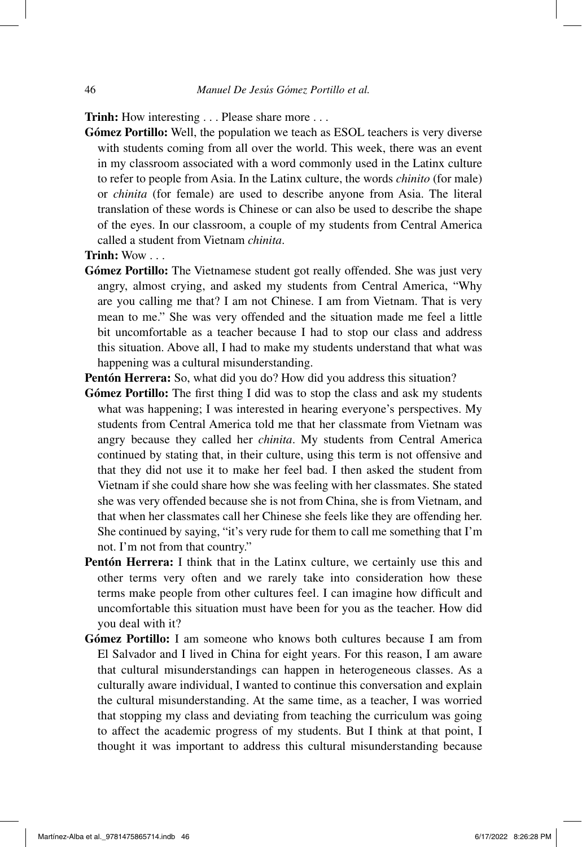**Trinh:** How interesting . . . Please share more . . .

**Gómez Portillo:** Well, the population we teach as ESOL teachers is very diverse with students coming from all over the world. This week, there was an event in my classroom associated with a word commonly used in the Latinx culture to refer to people from Asia. In the Latinx culture, the words *chinito* (for male) or *chinita* (for female) are used to describe anyone from Asia. The literal translation of these words is Chinese or can also be used to describe the shape of the eyes. In our classroom, a couple of my students from Central America called a student from Vietnam *chinita*.

**Trinh:** Wow . . .

- **Gómez Portillo:** The Vietnamese student got really offended. She was just very angry, almost crying, and asked my students from Central America, "Why are you calling me that? I am not Chinese. I am from Vietnam. That is very mean to me." She was very offended and the situation made me feel a little bit uncomfortable as a teacher because I had to stop our class and address this situation. Above all, I had to make my students understand that what was happening was a cultural misunderstanding.
- **Pentón Herrera:** So, what did you do? How did you address this situation?
- **Gómez Portillo:** The first thing I did was to stop the class and ask my students what was happening; I was interested in hearing everyone's perspectives. My students from Central America told me that her classmate from Vietnam was angry because they called her *chinita*. My students from Central America continued by stating that, in their culture, using this term is not offensive and that they did not use it to make her feel bad. I then asked the student from Vietnam if she could share how she was feeling with her classmates. She stated she was very offended because she is not from China, she is from Vietnam, and that when her classmates call her Chinese she feels like they are offending her. She continued by saying, "it's very rude for them to call me something that I'm not. I'm not from that country."
- **Pentón Herrera:** I think that in the Latinx culture, we certainly use this and other terms very often and we rarely take into consideration how these terms make people from other cultures feel. I can imagine how difficult and uncomfortable this situation must have been for you as the teacher. How did you deal with it?
- **Gómez Portillo:** I am someone who knows both cultures because I am from El Salvador and I lived in China for eight years. For this reason, I am aware that cultural misunderstandings can happen in heterogeneous classes. As a culturally aware individual, I wanted to continue this conversation and explain the cultural misunderstanding. At the same time, as a teacher, I was worried that stopping my class and deviating from teaching the curriculum was going to affect the academic progress of my students. But I think at that point, I thought it was important to address this cultural misunderstanding because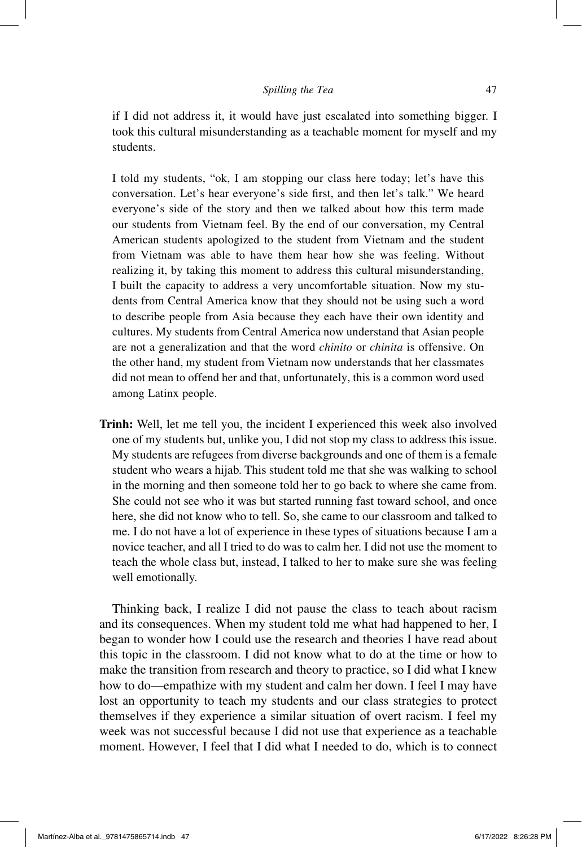if I did not address it, it would have just escalated into something bigger. I took this cultural misunderstanding as a teachable moment for myself and my students.

I told my students, "ok, I am stopping our class here today; let's have this conversation. Let's hear everyone's side first, and then let's talk." We heard everyone's side of the story and then we talked about how this term made our students from Vietnam feel. By the end of our conversation, my Central American students apologized to the student from Vietnam and the student from Vietnam was able to have them hear how she was feeling. Without realizing it, by taking this moment to address this cultural misunderstanding, I built the capacity to address a very uncomfortable situation. Now my students from Central America know that they should not be using such a word to describe people from Asia because they each have their own identity and cultures. My students from Central America now understand that Asian people are not a generalization and that the word *chinito* or *chinita* is offensive. On the other hand, my student from Vietnam now understands that her classmates did not mean to offend her and that, unfortunately, this is a common word used among Latinx people.

**Trinh:** Well, let me tell you, the incident I experienced this week also involved one of my students but, unlike you, I did not stop my class to address this issue. My students are refugees from diverse backgrounds and one of them is a female student who wears a hijab. This student told me that she was walking to school in the morning and then someone told her to go back to where she came from. She could not see who it was but started running fast toward school, and once here, she did not know who to tell. So, she came to our classroom and talked to me. I do not have a lot of experience in these types of situations because I am a novice teacher, and all I tried to do was to calm her. I did not use the moment to teach the whole class but, instead, I talked to her to make sure she was feeling well emotionally.

Thinking back, I realize I did not pause the class to teach about racism and its consequences. When my student told me what had happened to her, I began to wonder how I could use the research and theories I have read about this topic in the classroom. I did not know what to do at the time or how to make the transition from research and theory to practice, so I did what I knew how to do—empathize with my student and calm her down. I feel I may have lost an opportunity to teach my students and our class strategies to protect themselves if they experience a similar situation of overt racism. I feel my week was not successful because I did not use that experience as a teachable moment. However, I feel that I did what I needed to do, which is to connect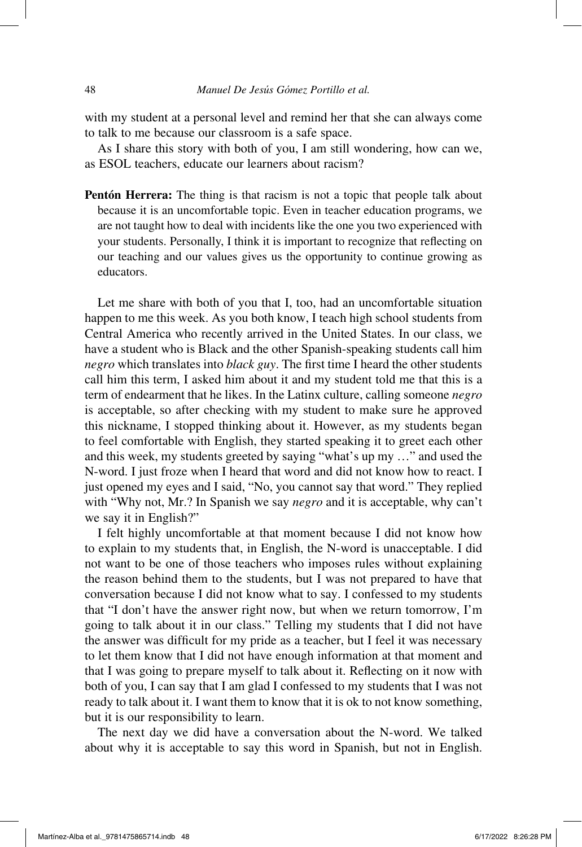with my student at a personal level and remind her that she can always come to talk to me because our classroom is a safe space.

As I share this story with both of you, I am still wondering, how can we, as ESOL teachers, educate our learners about racism?

**Pentón Herrera:** The thing is that racism is not a topic that people talk about because it is an uncomfortable topic. Even in teacher education programs, we are not taught how to deal with incidents like the one you two experienced with your students. Personally, I think it is important to recognize that reflecting on our teaching and our values gives us the opportunity to continue growing as educators.

Let me share with both of you that I, too, had an uncomfortable situation happen to me this week. As you both know, I teach high school students from Central America who recently arrived in the United States. In our class, we have a student who is Black and the other Spanish-speaking students call him *negro* which translates into *black guy*. The first time I heard the other students call him this term, I asked him about it and my student told me that this is a term of endearment that he likes. In the Latinx culture, calling someone *negro* is acceptable, so after checking with my student to make sure he approved this nickname, I stopped thinking about it. However, as my students began to feel comfortable with English, they started speaking it to greet each other and this week, my students greeted by saying "what's up my …" and used the N-word. I just froze when I heard that word and did not know how to react. I just opened my eyes and I said, "No, you cannot say that word." They replied with "Why not, Mr.? In Spanish we say *negro* and it is acceptable, why can't we say it in English?"

I felt highly uncomfortable at that moment because I did not know how to explain to my students that, in English, the N-word is unacceptable. I did not want to be one of those teachers who imposes rules without explaining the reason behind them to the students, but I was not prepared to have that conversation because I did not know what to say. I confessed to my students that "I don't have the answer right now, but when we return tomorrow, I'm going to talk about it in our class." Telling my students that I did not have the answer was difficult for my pride as a teacher, but I feel it was necessary to let them know that I did not have enough information at that moment and that I was going to prepare myself to talk about it. Reflecting on it now with both of you, I can say that I am glad I confessed to my students that I was not ready to talk about it. I want them to know that it is ok to not know something, but it is our responsibility to learn.

The next day we did have a conversation about the N-word. We talked about why it is acceptable to say this word in Spanish, but not in English.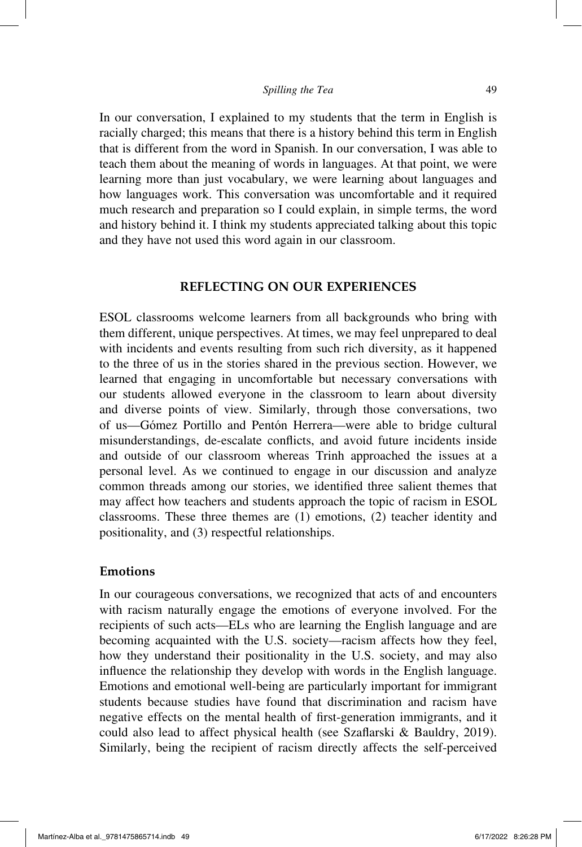#### *Spilling the Tea* 49

In our conversation, I explained to my students that the term in English is racially charged; this means that there is a history behind this term in English that is different from the word in Spanish. In our conversation, I was able to teach them about the meaning of words in languages. At that point, we were learning more than just vocabulary, we were learning about languages and how languages work. This conversation was uncomfortable and it required much research and preparation so I could explain, in simple terms, the word and history behind it. I think my students appreciated talking about this topic and they have not used this word again in our classroom.

## **REFLECTING ON OUR EXPERIENCES**

ESOL classrooms welcome learners from all backgrounds who bring with them different, unique perspectives. At times, we may feel unprepared to deal with incidents and events resulting from such rich diversity, as it happened to the three of us in the stories shared in the previous section. However, we learned that engaging in uncomfortable but necessary conversations with our students allowed everyone in the classroom to learn about diversity and diverse points of view. Similarly, through those conversations, two of us—Gómez Portillo and Pentón Herrera—were able to bridge cultural misunderstandings, de-escalate conflicts, and avoid future incidents inside and outside of our classroom whereas Trinh approached the issues at a personal level. As we continued to engage in our discussion and analyze common threads among our stories, we identified three salient themes that may affect how teachers and students approach the topic of racism in ESOL classrooms. These three themes are (1) emotions, (2) teacher identity and positionality, and (3) respectful relationships.

## **Emotions**

In our courageous conversations, we recognized that acts of and encounters with racism naturally engage the emotions of everyone involved. For the recipients of such acts—ELs who are learning the English language and are becoming acquainted with the U.S. society—racism affects how they feel, how they understand their positionality in the U.S. society, and may also influence the relationship they develop with words in the English language. Emotions and emotional well-being are particularly important for immigrant students because studies have found that discrimination and racism have negative effects on the mental health of first-generation immigrants, and it could also lead to affect physical health (see Szaflarski & Bauldry, 2019). Similarly, being the recipient of racism directly affects the self-perceived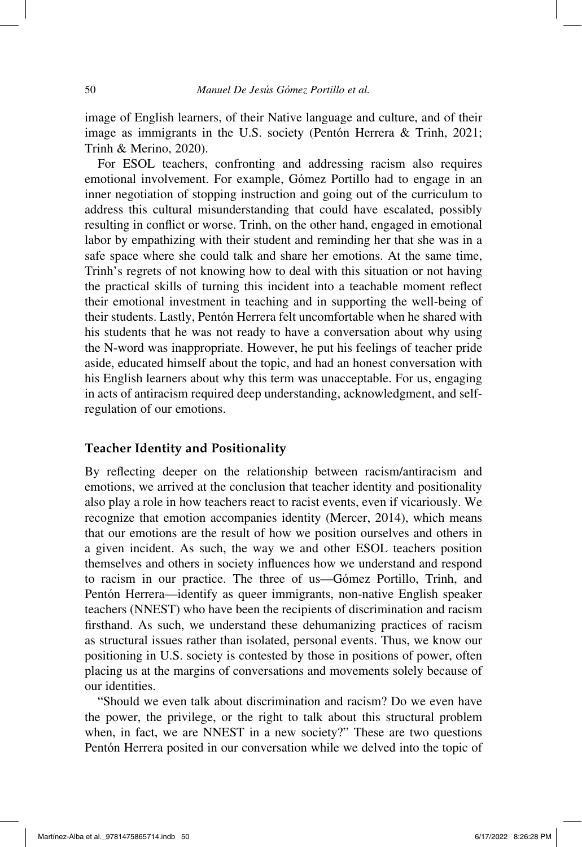image of English learners, of their Native language and culture, and of their image as immigrants in the U.S. society (Pentón Herrera & Trinh, 2021; Trinh & Merino, 2020).

For ESOL teachers, confronting and addressing racism also requires emotional involvement. For example, Gómez Portillo had to engage in an inner negotiation of stopping instruction and going out of the curriculum to address this cultural misunderstanding that could have escalated, possibly resulting in conflict or worse. Trinh, on the other hand, engaged in emotional labor by empathizing with their student and reminding her that she was in a safe space where she could talk and share her emotions. At the same time, Trinh's regrets of not knowing how to deal with this situation or not having the practical skills of turning this incident into a teachable moment reflect their emotional investment in teaching and in supporting the well-being of their students. Lastly, Pentón Herrera felt uncomfortable when he shared with his students that he was not ready to have a conversation about why using the N-word was inappropriate. However, he put his feelings of teacher pride aside, educated himself about the topic, and had an honest conversation with his English learners about why this term was unacceptable. For us, engaging in acts of antiracism required deep understanding, acknowledgment, and selfregulation of our emotions.

#### **Teacher Identity and Positionality**

By reflecting deeper on the relationship between racism/antiracism and emotions, we arrived at the conclusion that teacher identity and positionality also play a role in how teachers react to racist events, even if vicariously. We recognize that emotion accompanies identity (Mercer, 2014), which means that our emotions are the result of how we position ourselves and others in a given incident. As such, the way we and other ESOL teachers position themselves and others in society influences how we understand and respond to racism in our practice. The three of us—Gómez Portillo, Trinh, and Pentón Herrera—identify as queer immigrants, non-native English speaker teachers (NNEST) who have been the recipients of discrimination and racism firsthand. As such, we understand these dehumanizing practices of racism as structural issues rather than isolated, personal events. Thus, we know our positioning in U.S. society is contested by those in positions of power, often placing us at the margins of conversations and movements solely because of our identities.

"Should we even talk about discrimination and racism? Do we even have the power, the privilege, or the right to talk about this structural problem when, in fact, we are NNEST in a new society?" These are two questions Pentón Herrera posited in our conversation while we delved into the topic of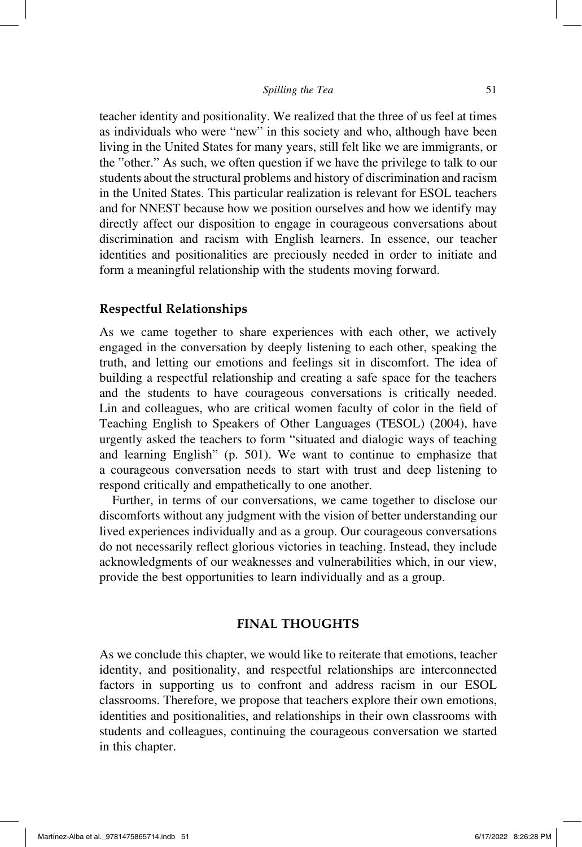#### *Spilling the Tea* 51

teacher identity and positionality. We realized that the three of us feel at times as individuals who were "new" in this society and who, although have been living in the United States for many years, still felt like we are immigrants, or the "other." As such, we often question if we have the privilege to talk to our students about the structural problems and history of discrimination and racism in the United States. This particular realization is relevant for ESOL teachers and for NNEST because how we position ourselves and how we identify may directly affect our disposition to engage in courageous conversations about discrimination and racism with English learners. In essence, our teacher identities and positionalities are preciously needed in order to initiate and form a meaningful relationship with the students moving forward.

#### **Respectful Relationships**

As we came together to share experiences with each other, we actively engaged in the conversation by deeply listening to each other, speaking the truth, and letting our emotions and feelings sit in discomfort. The idea of building a respectful relationship and creating a safe space for the teachers and the students to have courageous conversations is critically needed. Lin and colleagues, who are critical women faculty of color in the field of Teaching English to Speakers of Other Languages (TESOL) (2004), have urgently asked the teachers to form "situated and dialogic ways of teaching and learning English" (p. 501). We want to continue to emphasize that a courageous conversation needs to start with trust and deep listening to respond critically and empathetically to one another.

Further, in terms of our conversations, we came together to disclose our discomforts without any judgment with the vision of better understanding our lived experiences individually and as a group. Our courageous conversations do not necessarily reflect glorious victories in teaching. Instead, they include acknowledgments of our weaknesses and vulnerabilities which, in our view, provide the best opportunities to learn individually and as a group.

# **FINAL THOUGHTS**

As we conclude this chapter, we would like to reiterate that emotions, teacher identity, and positionality, and respectful relationships are interconnected factors in supporting us to confront and address racism in our ESOL classrooms. Therefore, we propose that teachers explore their own emotions, identities and positionalities, and relationships in their own classrooms with students and colleagues, continuing the courageous conversation we started in this chapter.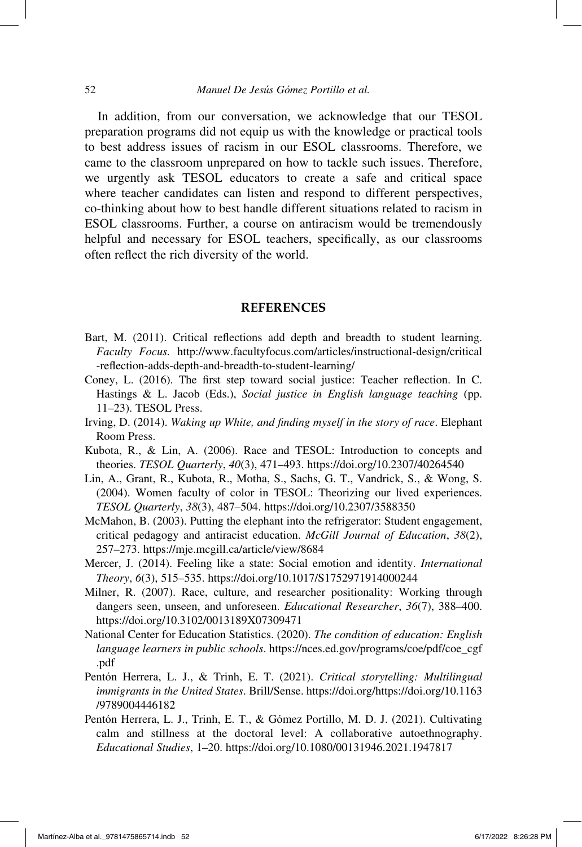In addition, from our conversation, we acknowledge that our TESOL preparation programs did not equip us with the knowledge or practical tools to best address issues of racism in our ESOL classrooms. Therefore, we came to the classroom unprepared on how to tackle such issues. Therefore, we urgently ask TESOL educators to create a safe and critical space where teacher candidates can listen and respond to different perspectives, co-thinking about how to best handle different situations related to racism in ESOL classrooms. Further, a course on antiracism would be tremendously helpful and necessary for ESOL teachers, specifically, as our classrooms often reflect the rich diversity of the world.

#### **REFERENCES**

- Bart, M. (2011). Critical reflections add depth and breadth to student learning. *Faculty Focus.* http://www.facultyfocus.com/articles/instructional-design/critical -reflection-adds-depth-and-breadth-to-student-learning/
- Coney, L. (2016). The first step toward social justice: Teacher reflection. In C. Hastings & L. Jacob (Eds.), *Social justice in English language teaching* (pp. 11–23). TESOL Press.
- Irving, D. (2014). *Waking up White, and finding myself in the story of race*. Elephant Room Press.
- Kubota, R., & Lin, A. (2006). Race and TESOL: Introduction to concepts and theories. *TESOL Quarterly*, *40*(3), 471–493. https://doi.org/10.2307/40264540
- Lin, A., Grant, R., Kubota, R., Motha, S., Sachs, G. T., Vandrick, S., & Wong, S. (2004). Women faculty of color in TESOL: Theorizing our lived experiences. *TESOL Quarterly*, *38*(3), 487–504. https://doi.org/10.2307/3588350
- McMahon, B. (2003). Putting the elephant into the refrigerator: Student engagement, critical pedagogy and antiracist education. *McGill Journal of Education*, *38*(2), 257–273. https://mje.mcgill.ca/article/view/8684
- Mercer, J. (2014). Feeling like a state: Social emotion and identity. *International Theory*, *6*(3), 515–535. https://doi.org/10.1017/S1752971914000244
- Milner, R. (2007). Race, culture, and researcher positionality: Working through dangers seen, unseen, and unforeseen. *Educational Researcher*, *36*(7), 388–400. https://doi.org/10.3102/0013189X07309471
- National Center for Education Statistics. (2020). *The condition of education: English language learners in public schools*. https://nces.ed.gov/programs/coe/pdf/coe\_cgf .pdf
- Pentón Herrera, L. J., & Trinh, E. T. (2021). *Critical storytelling: Multilingual immigrants in the United States*. Brill/Sense. https://doi.org/https://doi.org/10.1163 /9789004446182
- Pentón Herrera, L. J., Trinh, E. T., & Gómez Portillo, M. D. J. (2021). Cultivating calm and stillness at the doctoral level: A collaborative autoethnography. *Educational Studies*, 1–20. https://doi.org/10.1080/00131946.2021.1947817